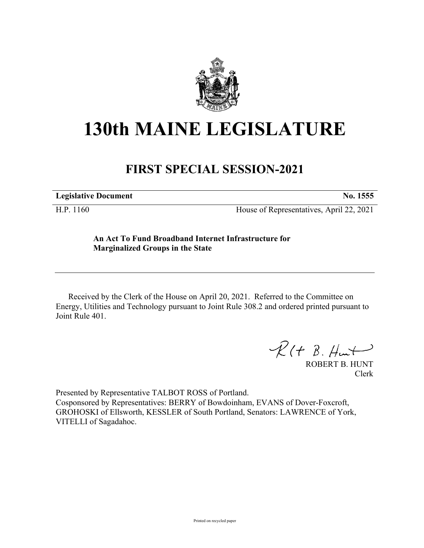

# **130th MAINE LEGISLATURE**

## **FIRST SPECIAL SESSION-2021**

**Legislative Document No. 1555**

H.P. 1160 House of Representatives, April 22, 2021

### **An Act To Fund Broadband Internet Infrastructure for Marginalized Groups in the State**

Received by the Clerk of the House on April 20, 2021. Referred to the Committee on Energy, Utilities and Technology pursuant to Joint Rule 308.2 and ordered printed pursuant to Joint Rule 401.

 $R(H B. H<sub>un</sub>+)$ 

ROBERT B. HUNT Clerk

Presented by Representative TALBOT ROSS of Portland. Cosponsored by Representatives: BERRY of Bowdoinham, EVANS of Dover-Foxcroft, GROHOSKI of Ellsworth, KESSLER of South Portland, Senators: LAWRENCE of York, VITELLI of Sagadahoc.